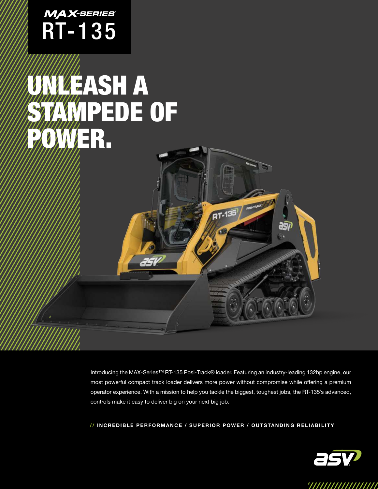

## UNLEASH A STAMPEDE OF WER.

Introducing the MAX-Series™ RT-135 Posi-Track® loader. Featuring an industry-leading 132hp engine, our most powerful compact track loader delivers more power without compromise while offering a premium operator experience. With a mission to help you tackle the biggest, toughest jobs, the RT-135's advanced, controls make it easy to deliver big on your next big job.

 $RT - 135$ 

asv

// INCREDIBLE PERFORMANCE / SUPERIOR POWER / OUTSTANDING RELIABILITY